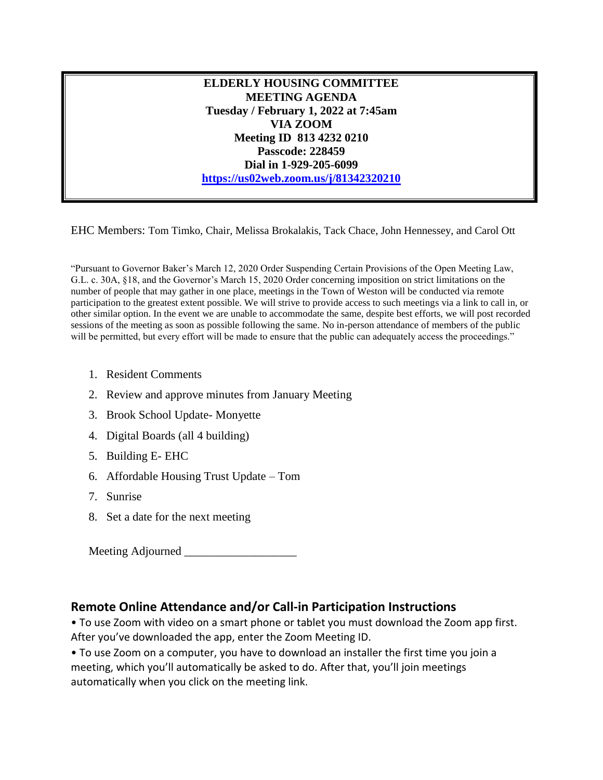**ELDERLY HOUSING COMMITTEE MEETING AGENDA Tuesday / February 1, 2022 at 7:45am VIA ZOOM Meeting ID 813 4232 0210 Passcode: 228459 Dial in 1-929-205-6099 <https://us02web.zoom.us/j/81342320210>**

EHC Members: Tom Timko, Chair, Melissa Brokalakis, Tack Chace, John Hennessey, and Carol Ott

"Pursuant to Governor Baker's March 12, 2020 Order Suspending Certain Provisions of the Open Meeting Law, G.L. c. 30A, §18, and the Governor's March 15, 2020 Order concerning imposition on strict limitations on the number of people that may gather in one place, meetings in the Town of Weston will be conducted via remote participation to the greatest extent possible. We will strive to provide access to such meetings via a link to call in, or other similar option. In the event we are unable to accommodate the same, despite best efforts, we will post recorded sessions of the meeting as soon as possible following the same. No in-person attendance of members of the public will be permitted, but every effort will be made to ensure that the public can adequately access the proceedings."

- 1. Resident Comments
- 2. Review and approve minutes from January Meeting
- 3. Brook School Update- Monyette
- 4. Digital Boards (all 4 building)
- 5. Building E- EHC
- 6. Affordable Housing Trust Update Tom
- 7. Sunrise
- 8. Set a date for the next meeting

Meeting Adjourned \_\_\_\_\_\_\_\_\_\_\_\_\_\_\_\_\_\_\_

## **Remote Online Attendance and/or Call-in Participation Instructions**

• To use Zoom with video on a smart phone or tablet you must download the Zoom app first. After you've downloaded the app, enter the Zoom Meeting ID.

• To use Zoom on a computer, you have to download an installer the first time you join a meeting, which you'll automatically be asked to do. After that, you'll join meetings automatically when you click on the meeting link.